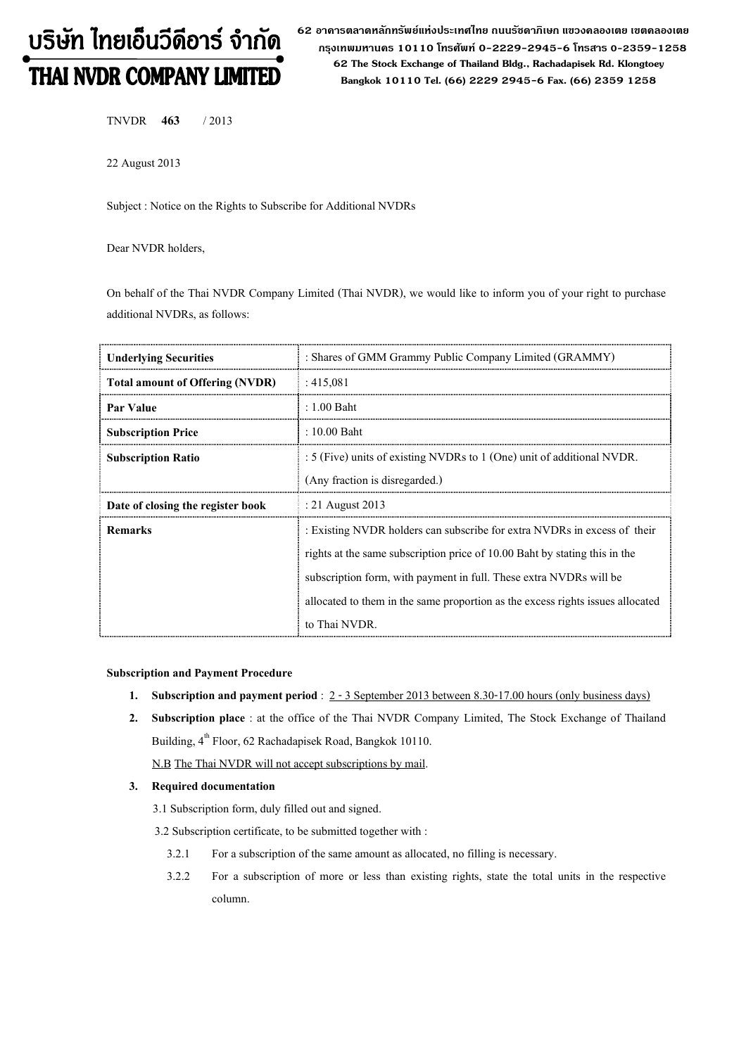# บริษัท ไทยเอ็นวีดีอาร์ จำกัด THAI NVDR COMPANY LIMITED

62 อาดารตลาดหลักทรัพย์แห่งประเทศไทย ถนนรัซดาภิเษก แขวงดลองเตย เขตดลองเตย กรุงเทพมหานดร 10110 โทรศัพท์ 0-2229-2945-6 โทรสาร 0-2359-1258 62 The Stock Exchange of Thailand Bldg., Rachadapisek Rd. Klongtoey Bangkok 10110 Tel. (66) 2229 2945-6 Fax. (66) 2359 1258

TNVDR 463 / 2013

22 August 2013

Subject : Notice on the Rights to Subscribe for Additional NVDRs

Dear NVDR holders,

On behalf of the Thai NVDR Company Limited (Thai NVDR), we would like to inform you of your right to purchase additional NVDRs, as follows:

| <b>Underlying Securities</b>           | : Shares of GMM Grammy Public Company Limited (GRAMMY)                         |  |
|----------------------------------------|--------------------------------------------------------------------------------|--|
| <b>Total amount of Offering (NVDR)</b> | :415,081                                                                       |  |
| Par Value                              | $: 1.00$ Baht                                                                  |  |
| <b>Subscription Price</b>              | $: 10.00$ Baht                                                                 |  |
| <b>Subscription Ratio</b>              | : 5 (Five) units of existing NVDRs to 1 (One) unit of additional NVDR.         |  |
|                                        | (Any fraction is disregarded.)                                                 |  |
| Date of closing the register book      | : 21 August 2013                                                               |  |
| <b>Remarks</b>                         | : Existing NVDR holders can subscribe for extra NVDRs in excess of their       |  |
|                                        | rights at the same subscription price of 10.00 Baht by stating this in the     |  |
|                                        | subscription form, with payment in full. These extra NVDRs will be             |  |
|                                        | allocated to them in the same proportion as the excess rights issues allocated |  |
|                                        | to Thai NVDR.                                                                  |  |

#### Subscription and Payment Procedure

- 1. Subscription and payment period :  $2 3$  September 2013 between 8.30-17.00 hours (only business days)
- 2. Subscription place : at the office of the Thai NVDR Company Limited, The Stock Exchange of Thailand Building, 4<sup>th</sup> Floor, 62 Rachadapisek Road, Bangkok 10110.

N.B The Thai NVDR will not accept subscriptions by mail.

## 3. Required documentation

- 3.1 Subscription form, duly filled out and signed.
- 3.2 Subscription certificate, to be submitted together with :
	- 3.2.1 For a subscription of the same amount as allocated, no filling is necessary.
	- 3.2.2 For a subscription of more or less than existing rights, state the total units in the respective column.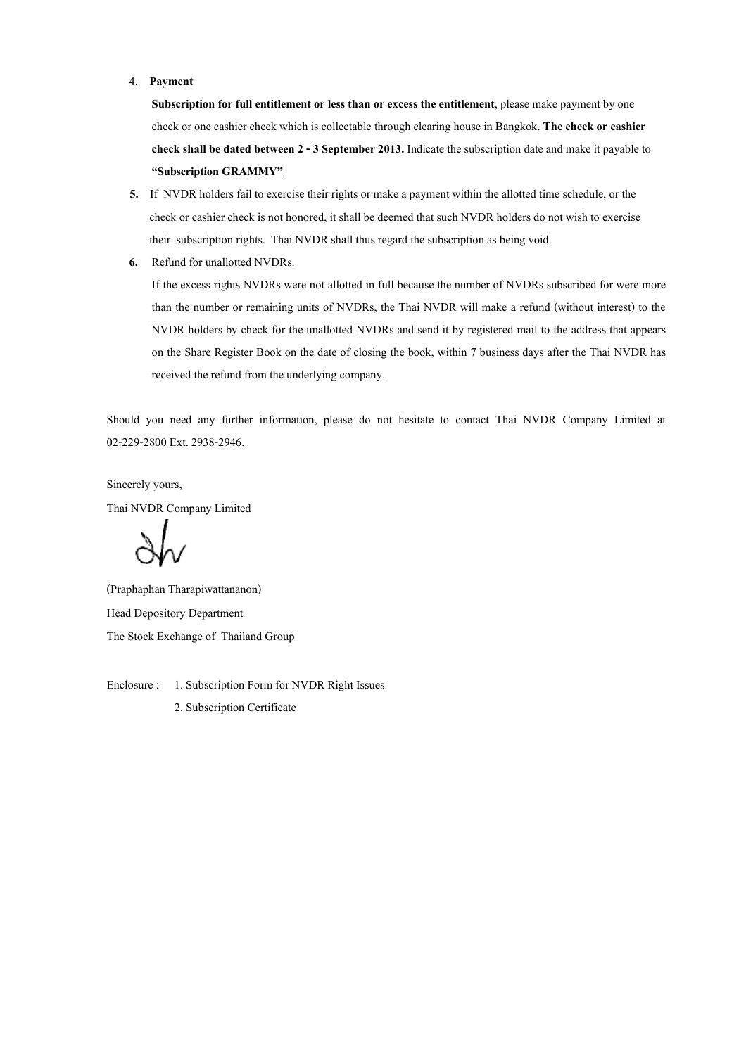#### 4. Payment

Subscription for full entitlement or less than or excess the entitlement, please make payment by one check or one cashier check which is collectable through clearing house in Bangkok. The check or cashier check shall be dated between 2 - 3 September 2013. Indicate the subscription date and make it payable to "Subscription GRAMMY"

- 5. If NVDR holders fail to exercise their rights or make a payment within the allotted time schedule, or the check or cashier check is not honored, it shall be deemed that such NVDR holders do not wish to exercise their subscription rights. Thai NVDR shall thus regard the subscription as being void.
- 6. Refund for unallotted NVDRs.

If the excess rights NVDRs were not allotted in full because the number of NVDRs subscribed for were more than the number or remaining units of NVDRs, the Thai NVDR will make a refund (without interest) to the NVDR holders by check for the unallotted NVDRs and send it by registered mail to the address that appears on the Share Register Book on the date of closing the book, within 7 business days after the Thai NVDR has received the refund from the underlying company.

Should you need any further information, please do not hesitate to contact Thai NVDR Company Limited at 02-229-2800 Ext. 2938-2946.

Sincerely yours, Thai NVDR Company Limited

(Praphaphan Tharapiwattananon) Head Depository Department The Stock Exchange of Thailand Group

Enclosure : 1. Subscription Form for NVDR Right Issues

2. Subscription Certificate